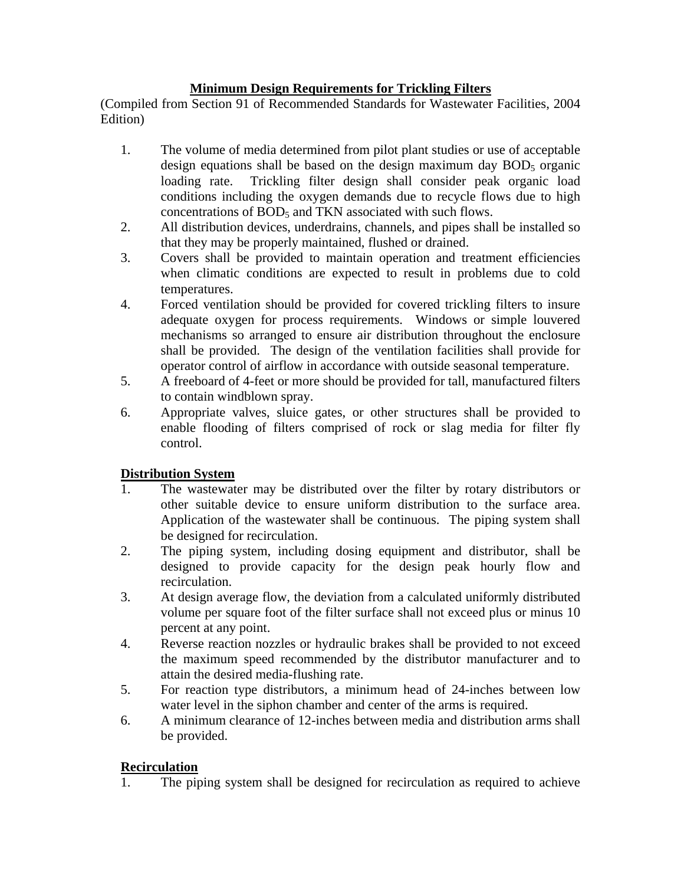#### **Minimum Design Requirements for Trickling Filters**

(Compiled from Section 91 of Recommended Standards for Wastewater Facilities, 2004 Edition)

- 1. The volume of media determined from pilot plant studies or use of acceptable design equations shall be based on the design maximum day  $BOD<sub>5</sub>$  organic loading rate. Trickling filter design shall consider peak organic load conditions including the oxygen demands due to recycle flows due to high concentrations of BOD<sub>5</sub> and TKN associated with such flows.
- 2. All distribution devices, underdrains, channels, and pipes shall be installed so that they may be properly maintained, flushed or drained.
- 3. Covers shall be provided to maintain operation and treatment efficiencies when climatic conditions are expected to result in problems due to cold temperatures.
- 4. Forced ventilation should be provided for covered trickling filters to insure adequate oxygen for process requirements. Windows or simple louvered mechanisms so arranged to ensure air distribution throughout the enclosure shall be provided. The design of the ventilation facilities shall provide for operator control of airflow in accordance with outside seasonal temperature.
- 5. A freeboard of 4-feet or more should be provided for tall, manufactured filters to contain windblown spray.
- 6. Appropriate valves, sluice gates, or other structures shall be provided to enable flooding of filters comprised of rock or slag media for filter fly control.

# **Distribution System**

- 1. The wastewater may be distributed over the filter by rotary distributors or other suitable device to ensure uniform distribution to the surface area. Application of the wastewater shall be continuous. The piping system shall be designed for recirculation.
- 2. The piping system, including dosing equipment and distributor, shall be designed to provide capacity for the design peak hourly flow and recirculation.
- 3. At design average flow, the deviation from a calculated uniformly distributed volume per square foot of the filter surface shall not exceed plus or minus 10 percent at any point.
- 4. Reverse reaction nozzles or hydraulic brakes shall be provided to not exceed the maximum speed recommended by the distributor manufacturer and to attain the desired media-flushing rate.
- 5. For reaction type distributors, a minimum head of 24-inches between low water level in the siphon chamber and center of the arms is required.
- 6. A minimum clearance of 12-inches between media and distribution arms shall be provided.

# **Recirculation**

1. The piping system shall be designed for recirculation as required to achieve